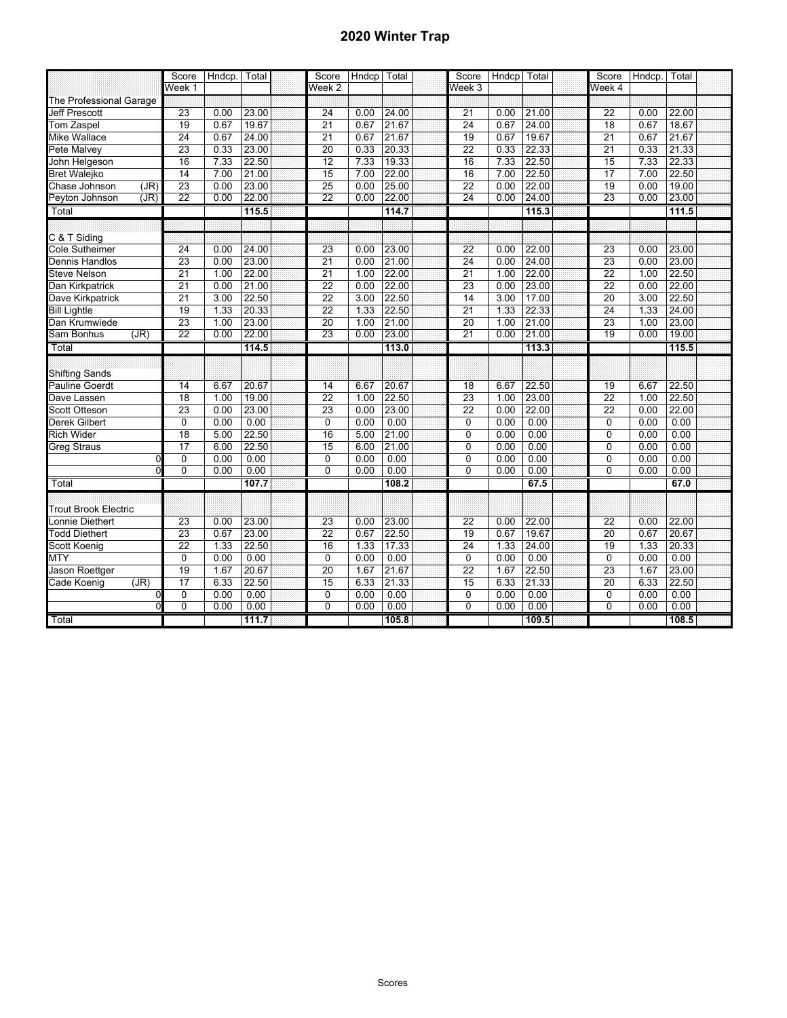## **2020 Winter Trap**

|                             | Score           | Hndcp. | Total | Score           | Hndcp Total |       | Score           | Hndcp | Total | Score           | Hndcp. | Total |  |
|-----------------------------|-----------------|--------|-------|-----------------|-------------|-------|-----------------|-------|-------|-----------------|--------|-------|--|
|                             | Week 1          |        |       | Week 2          |             |       | Week 3          |       |       | Week 4          |        |       |  |
| The Professional Garage     |                 |        |       |                 |             |       |                 |       |       |                 |        |       |  |
| Jeff Prescott               | 23              | 0.00   | 23.00 | 24              | 0.00        | 24.00 | 21              | 0.00  | 21.00 | 22              | 0.00   | 22.00 |  |
| Tom Zaspel                  | 19              | 0.67   | 19.67 | $\overline{21}$ | 0.67        | 21.67 | 24              | 0.67  | 24.00 | 18              | 0.67   | 18.67 |  |
| <b>Mike Wallace</b>         | $\overline{24}$ | 0.67   | 24.00 | $\overline{21}$ | 0.67        | 21.67 | 19              | 0.67  | 19.67 | $\overline{21}$ | 0.67   | 21.67 |  |
| Pete Malvey                 | 23              | 0.33   | 23.00 | 20              | 0.33        | 20.33 | $\overline{22}$ | 0.33  | 22.33 | $\overline{21}$ | 0.33   | 21.33 |  |
| John Helgeson               | 16              | 7.33   | 22.50 | 12              | 7.33        | 19.33 | 16              | 7.33  | 22.50 | 15              | 7.33   | 22.33 |  |
| <b>Bret Walejko</b>         | 14              | 7.00   | 21.00 | 15              | 7.00        | 22.00 | 16              | 7.00  | 22.50 | 17              | 7.00   | 22.50 |  |
| (JR)<br>Chase Johnson       | 23              | 0.00   | 23.00 | $\overline{25}$ | 0.00        | 25.00 | $\overline{22}$ | 0.00  | 22.00 | 19              | 0.00   | 19.00 |  |
| (JR)<br>Peyton Johnson      | $\overline{22}$ | 0.00   | 22.00 | $\overline{22}$ | 0.00        | 22.00 | 24              | 0.00  | 24.00 | 23              | 0.00   | 23.00 |  |
| Total                       |                 |        | 115.5 |                 |             | 114.7 |                 |       | 115.3 |                 |        | 111.5 |  |
|                             |                 |        |       |                 |             |       |                 |       |       |                 |        |       |  |
| C & T Siding                |                 |        |       |                 |             |       |                 |       |       |                 |        |       |  |
| <b>Cole Sutheimer</b>       | $\overline{24}$ | 0.00   | 24.00 | 23              | 0.00        | 23.00 | $\overline{22}$ | 0.00  | 22.00 | 23              | 0.00   | 23.00 |  |
| Dennis Handlos              | 23              | 0.00   | 23.00 | $\overline{21}$ | 0.00        | 21.00 | 24              | 0.00  | 24.00 | 23              | 0.00   | 23.00 |  |
| Steve Nelson                | 21              | 1.00   | 22.00 | $\overline{21}$ | 1.00        | 22.00 | 21              | 1.00  | 22.00 | $\overline{22}$ | 1.00   | 22.50 |  |
| Dan Kirkpatrick             | 21              | 0.00   | 21.00 | $\overline{22}$ | 0.00        | 22.00 | 23              | 0.00  | 23.00 | 22              | 0.00   | 22.00 |  |
| Dave Kirkpatrick            | 21              | 3.00   | 22.50 | $\overline{22}$ | 3.00        | 22.50 | 14              | 3.00  | 17.00 | $\overline{20}$ | 3.00   | 22.50 |  |
| <b>Bill Lightle</b>         | 19              | 1.33   | 20.33 | $\overline{22}$ | 1.33        | 22.50 | $\overline{21}$ | 1.33  | 22.33 | 24              | 1.33   | 24.00 |  |
| Dan Krumwiede               | $\overline{23}$ | 1.00   | 23.00 | $\overline{20}$ | 1.00        | 21.00 | 20              | 1.00  | 21.00 | 23              | 1.00   | 23.00 |  |
| Sam Bonhus<br>(JR)          | $\overline{22}$ | 0.00   | 22.00 | 23              | 0.00        | 23.00 | $\overline{21}$ | 0.00  | 21.00 | 19              | 0.00   | 19.00 |  |
| Total                       |                 |        | 114.5 |                 |             | 113.0 |                 |       | 113.3 |                 |        | 115.5 |  |
|                             |                 |        |       |                 |             |       |                 |       |       |                 |        |       |  |
| <b>Shifting Sands</b>       |                 |        |       |                 |             |       |                 |       |       |                 |        |       |  |
| <b>Pauline Goerdt</b>       | 14              | 6.67   | 20.67 | 14              | 6.67        | 20.67 | 18              | 6.67  | 22.50 | 19              | 6.67   | 22.50 |  |
| Dave Lassen                 | 18              | 1.00   | 19.00 | $\overline{22}$ | 1.00        | 22.50 | 23              | 1.00  | 23.00 | $\overline{22}$ | 1.00   | 22.50 |  |
| Scott Otteson               | 23              | 0.00   | 23.00 | 23              | 0.00        | 23.00 | 22              | 0.00  | 22.00 | 22              | 0.00   | 22.00 |  |
| <b>Derek Gilbert</b>        | 0               | 0.00   | 0.00  | 0               | 0.00        | 0.00  | $\mathbf 0$     | 0.00  | 0.00  | $\mathbf 0$     | 0.00   | 0.00  |  |
| <b>Rich Wider</b>           | 18              | 5.00   | 22.50 | 16              | 5.00        | 21.00 | 0               | 0.00  | 0.00  | $\Omega$        | 0.00   | 0.00  |  |
| Greg Straus                 | 17              | 6.00   | 22.50 | 15              | 6.00        | 21.00 | 0               | 0.00  | 0.00  | $\Omega$        | 0.00   | 0.00  |  |
| $\Omega$                    | 0               | 0.00   | 0.00  | $\mathbf 0$     | 0.00        | 0.00  | $\mathbf 0$     | 0.00  | 0.00  | $\mathbf 0$     | 0.00   | 0.00  |  |
| $\overline{0}$              | 0               | 0.00   | 0.00  | $\overline{0}$  | 0.00        | 0.00  | $\overline{0}$  | 0.00  | 0.00  | $\overline{0}$  | 0.00   | 0.00  |  |
| Total                       |                 |        | 107.7 |                 |             | 108.2 |                 |       | 67.5  |                 |        | 67.0  |  |
|                             |                 |        |       |                 |             |       |                 |       |       |                 |        |       |  |
| <b>Trout Brook Electric</b> |                 |        |       |                 |             |       |                 |       |       |                 |        |       |  |
| onnie Diethert              | 23              | 0.00   | 23.00 | 23              | 0.00        | 23.00 | 22              | 0.00  | 22.00 | 22              | 0.00   | 22.00 |  |
| <b>Todd Diethert</b>        | 23              | 0.67   | 23.00 | $\overline{22}$ | 0.67        | 22.50 | 19              | 0.67  | 19.67 | $\overline{20}$ | 0.67   | 20.67 |  |
| Scott Koenig                | $\overline{22}$ | 1.33   | 22.50 | 16              | 1.33        | 17.33 | 24              | 1.33  | 24.00 | 19              | 1.33   | 20.33 |  |
| <b>MTY</b>                  | $\mathbf{0}$    | 0.00   | 0.00  | $\overline{0}$  | 0.00        | 0.00  | $\mathbf{0}$    | 0.00  | 0.00  | $\Omega$        | 0.00   | 0.00  |  |
| Jason Roettger              | 19              | 1.67   | 20.67 | $\overline{20}$ | 1.67        | 21.67 | $\overline{22}$ | 1.67  | 22.50 | $\overline{23}$ | 1.67   | 23.00 |  |
| Cade Koenig<br>(JR)         | 17              | 6.33   | 22.50 | 15              | 6.33        | 21.33 | 15              | 6.33  | 21.33 | 20              | 6.33   | 22.50 |  |
| $\mathbf 0$                 | 0               | 0.00   | 0.00  | 0               | 0.00        | 0.00  | 0               | 0.00  | 0.00  | $\mathbf 0$     | 0.00   | 0.00  |  |
| $\overline{0}$              | 0               | 0.00   | 0.00  | $\overline{0}$  | 0.00        | 0.00  | $\mathbf{0}$    | 0.00  | 0.00  | 0               | 0.00   | 0.00  |  |
| Total                       |                 |        | 111.7 |                 |             | 105.8 |                 |       | 109.5 |                 |        | 108.5 |  |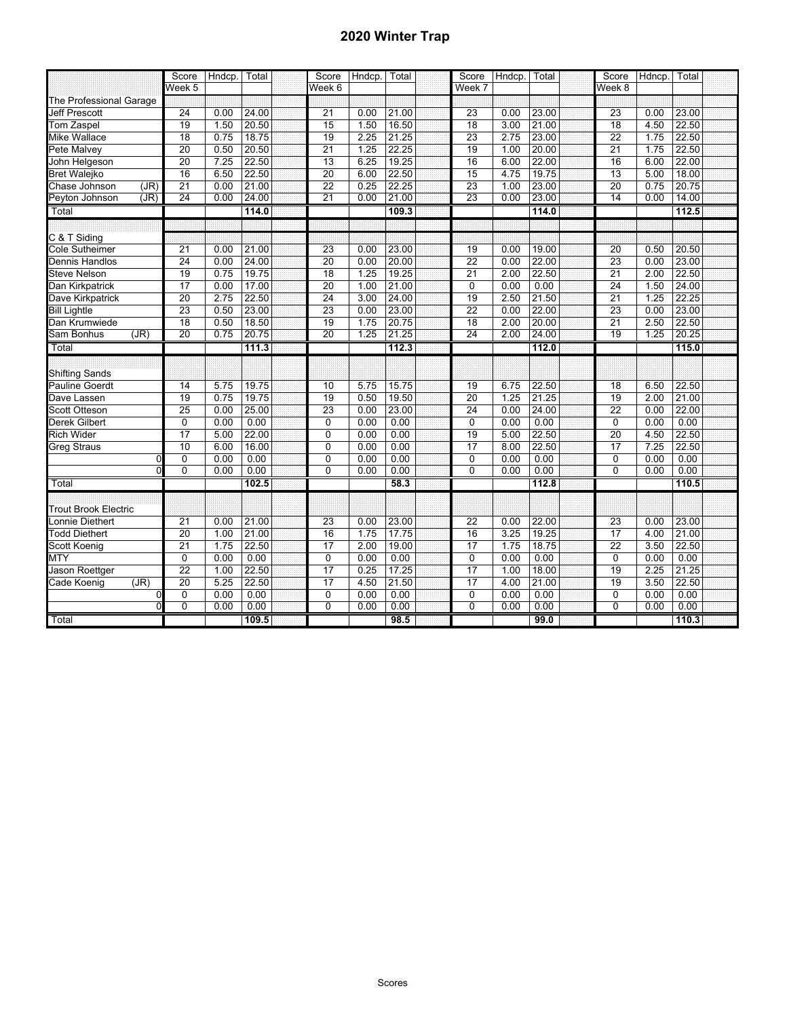## **2020 Winter Trap**

|                         | Score           | Hndcp. | Total | Score           | Hndcp. | Total | Score           | Hndcp. | Total | Score           | Hdncp. | Total |  |
|-------------------------|-----------------|--------|-------|-----------------|--------|-------|-----------------|--------|-------|-----------------|--------|-------|--|
|                         | Week 5          |        |       | Week 6          |        |       | Week 7          |        |       | Week 8          |        |       |  |
| The Professional Garage |                 |        |       |                 |        |       |                 |        |       |                 |        |       |  |
| <b>Jeff Prescott</b>    | $\overline{24}$ | 0.00   | 24.00 | 21              | 0.00   | 21.00 | 23              | 0.00   | 23.00 | 23              | 0.00   | 23.00 |  |
| Tom Zaspel              | 19              | 1.50   | 20.50 | 15              | 1.50   | 16.50 | 18              | 3.00   | 21.00 | 18              | 4.50   | 22.50 |  |
| Mike Wallace            | 18              | 0.75   | 18.75 | 19              | 2.25   | 21.25 | 23              | 2.75   | 23.00 | $\overline{22}$ | 1.75   | 22.50 |  |
| Pete Malvey             | 20              | 0.50   | 20.50 | 21              | 1.25   | 22.25 | 19              | 1.00   | 20.00 | 21              | 1.75   | 22.50 |  |
| John Helgeson           | 20              | 7.25   | 22.50 | $\overline{13}$ | 6.25   | 19.25 | 16              | 6.00   | 22.00 | 16              | 6.00   | 22.00 |  |
| <b>Bret Walejko</b>     | 16              | 6.50   | 22.50 | $\overline{20}$ | 6.00   | 22.50 | 15              | 4.75   | 19.75 | 13              | 5.00   | 18.00 |  |
| (JR)<br>Chase Johnson   | $\overline{21}$ | 0.00   | 21.00 | 22              | 0.25   | 22.25 | 23              | 1.00   | 23.00 | $\overline{20}$ | 0.75   | 20.75 |  |
| (JR)<br>Peyton Johnson  | 24              | 0.00   | 24.00 | 21              | 0.00   | 21.00 | 23              | 0.00   | 23.00 | 14              | 0.00   | 14.00 |  |
| Total                   |                 |        | 114.0 |                 |        | 109.3 |                 |        | 114.0 |                 |        | 112.5 |  |
|                         |                 |        |       |                 |        |       |                 |        |       |                 |        |       |  |
| C & T Siding            |                 |        |       |                 |        |       |                 |        |       |                 |        |       |  |
| Cole Sutheimer          | $\overline{21}$ | 0.00   | 21.00 | 23              | 0.00   | 23.00 | 19              | 0.00   | 19.00 | 20              | 0.50   | 20.50 |  |
| Dennis Handlos          | 24              | 0.00   | 24.00 | $\overline{20}$ | 0.00   | 20.00 | 22              | 0.00   | 22.00 | 23              | 0.00   | 23.00 |  |
| <b>Steve Nelson</b>     | 19              | 0.75   | 19.75 | $\overline{18}$ | 1.25   | 19.25 | $\overline{21}$ | 2.00   | 22.50 | $\overline{21}$ | 2.00   | 22.50 |  |
| Dan Kirkpatrick         | $\overline{17}$ | 0.00   | 17.00 | $\overline{20}$ | 1.00   | 21.00 | 0               | 0.00   | 0.00  | $\overline{24}$ | 1.50   | 24.00 |  |
| Dave Kirkpatrick        | 20              | 2.75   | 22.50 | 24              | 3.00   | 24.00 | 19              | 2.50   | 21.50 | $\overline{21}$ | 1.25   | 22.25 |  |
| <b>Bill Lightle</b>     | 23              | 0.50   | 23.00 | 23              | 0.00   | 23.00 | $\overline{22}$ | 0.00   | 22.00 | $\overline{23}$ | 0.00   | 23.00 |  |
| Dan Krumwiede           | 18              | 0.50   | 18.50 | 19              | 1.75   | 20.75 | 18              | 2.00   | 20.00 | 21              | 2.50   | 22.50 |  |
| Sam Bonhus<br>(JR)      | 20              | 0.75   | 20.75 | 20              | 1.25   | 21.25 | 24              | 2.00   | 24.00 | 19              | 1.25   | 20.25 |  |
| Total                   |                 |        | 111.3 |                 |        | 112.3 |                 |        | 112.0 |                 |        | 115.0 |  |
|                         |                 |        |       |                 |        |       |                 |        |       |                 |        |       |  |
| <b>Shifting Sands</b>   |                 |        |       |                 |        |       |                 |        |       |                 |        |       |  |
| <b>Pauline Goerdt</b>   | 14              | 5.75   | 19.75 | 10              | 5.75   | 15.75 | 19              | 6.75   | 22.50 | 18              | 6.50   | 22.50 |  |
| Dave Lassen             | 19              | 0.75   | 19.75 | 19              | 0.50   | 19.50 | 20              | 1.25   | 21.25 | 19              | 2.00   | 21.00 |  |
| Scott Otteson           | 25              | 0.00   | 25.00 | 23              | 0.00   | 23.00 | $\overline{24}$ | 0.00   | 24.00 | 22              | 0.00   | 22.00 |  |
| <b>Derek Gilbert</b>    | 0               | 0.00   | 0.00  | $\overline{0}$  | 0.00   | 0.00  | 0               | 0.00   | 0.00  | $\overline{0}$  | 0.00   | 0.00  |  |
| <b>Rich Wider</b>       | 17              | 5.00   | 22.00 | $\mathbf 0$     | 0.00   | 0.00  | 19              | 5.00   | 22.50 | 20              | 4.50   | 22.50 |  |
| <b>Greg Straus</b>      | 10              | 6.00   | 16.00 | $\mathbf 0$     | 0.00   | 0.00  | $\overline{17}$ | 8.00   | 22.50 | 17              | 7.25   | 22.50 |  |
| $\mathbf 0$             | 0               | 0.00   | 0.00  | $\mathbf 0$     | 0.00   | 0.00  | 0               | 0.00   | 0.00  | $\mathbf 0$     | 0.00   | 0.00  |  |
| $\overline{0}$          | $\overline{0}$  | 0.00   | 0.00  | $\overline{0}$  | 0.00   | 0.00  | $\overline{0}$  | 0.00   | 0.00  | 0               | 0.00   | 0.00  |  |
| Total                   |                 |        | 102.5 |                 |        | 58.3  |                 |        | 112.8 |                 |        | 110.5 |  |
|                         |                 |        |       |                 |        |       |                 |        |       |                 |        |       |  |
| Trout Brook Electric    |                 |        |       |                 |        |       |                 |        |       |                 |        |       |  |
| onnie Diethert.         | 21              | 0.00   | 21.00 | 23              | 0.00   | 23.00 | 22              | 0.00   | 22.00 | 23              | 0.00   | 23.00 |  |
| <b>Todd Diethert</b>    | 20              | 1.00   | 21.00 | 16              | 1.75   | 17.75 | 16              | 3.25   | 19.25 | $\overline{17}$ | 4.00   | 21.00 |  |
| Scott Koenig            | $\overline{21}$ | 1.75   | 22.50 | $\overline{17}$ | 2.00   | 19.00 | 17              | 1.75   | 18.75 | $\overline{22}$ | 3.50   | 22.50 |  |
| <b>MTY</b>              | $\Omega$        | 0.00   | 0.00  | $\mathbf 0$     | 0.00   | 0.00  | $\overline{0}$  | 0.00   | 0.00  | $\overline{0}$  | 0.00   | 0.00  |  |
| Jason Roettger          | 22              | 1.00   | 22.50 | $\overline{17}$ | 0.25   | 17.25 | 17              | 1.00   | 18.00 | 19              | 2.25   | 21.25 |  |
| Cade Koenig<br>(JR)     | $\overline{20}$ | 5.25   | 22.50 | $\overline{17}$ | 4.50   | 21.50 | 17              | 4.00   | 21.00 | 19              | 3.50   | 22.50 |  |
| $\mathbf 0$             | 0               | 0.00   | 0.00  | $\overline{0}$  | 0.00   | 0.00  | 0               | 0.00   | 0.00  | $\mathbf 0$     | 0.00   | 0.00  |  |
| $\overline{0}$          | 0               | 0.00   | 0.00  | $\mathbf 0$     | 0.00   | 0.00  | 0               | 0.00   | 0.00  | 0               | 0.00   | 0.00  |  |
| Total                   |                 |        | 109.5 |                 |        | 98.5  |                 |        | 99.0  |                 |        | 110.3 |  |